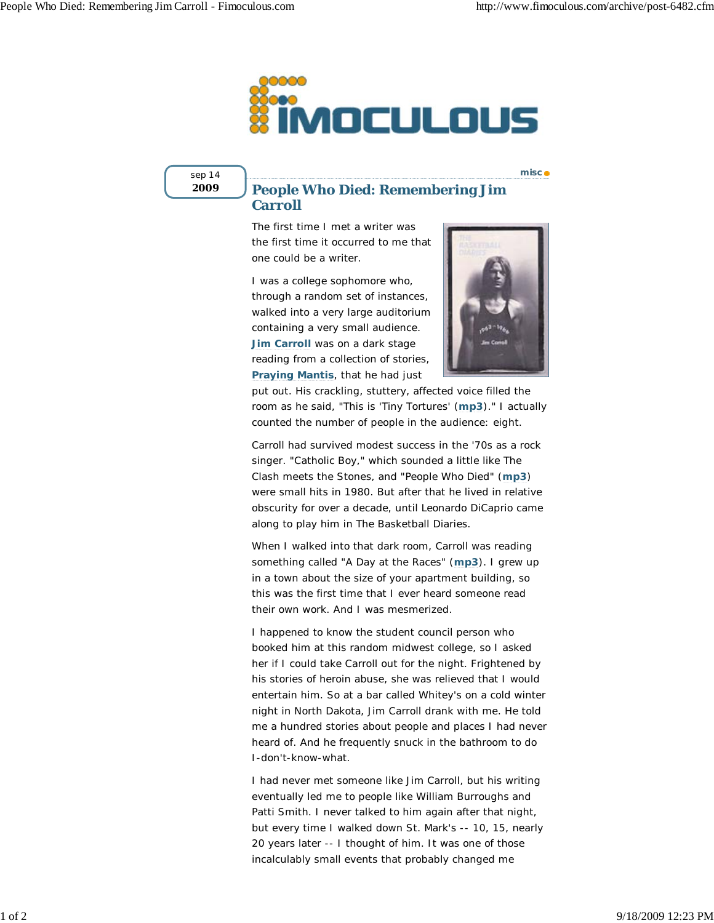

sep 14 **2009**

## **People Who Died: Remembering Jim Carroll**

The first time I met a writer was the first time it occurred to me that one could be a writer.

I was a college sophomore who, through a random set of instances, walked into a very large auditorium containing a very small audience. **Jim Carroll** was on a dark stage reading from a collection of stories, *Praying Mantis*, that he had just



**misc**

put out. His crackling, stuttery, affected voice filled the room as he said, "This is 'Tiny Tortures' (**mp3**)." I actually counted the number of people in the audience: eight.

Carroll had survived modest success in the '70s as a rock singer. "Catholic Boy," which sounded a little like The Clash meets the Stones, and "People Who Died" (**mp3**) were small hits in 1980. But after that he lived in relative obscurity for over a decade, until Leonardo DiCaprio came along to play him in *The Basketball Diaries*.

When I walked into that dark room, Carroll was reading something called "A Day at the Races" (**mp3**). I grew up in a town about the size of your apartment building, so this was the first time that I ever heard someone read their own work. And I was mesmerized.

I happened to know the student council person who booked him at this random midwest college, so I asked her if I could take Carroll out for the night. Frightened by his stories of heroin abuse, she was relieved that I would entertain him. So at a bar called Whitey's on a cold winter night in North Dakota, Jim Carroll drank with me. He told me a hundred stories about people and places I had never heard of. And he frequently snuck in the bathroom to do I-don't-know-what.

I had never met someone like Jim Carroll, but his writing eventually led me to people like William Burroughs and Patti Smith. I never talked to him again after that night, but every time I walked down St. Mark's -- 10, 15, nearly 20 years later -- I thought of him. It was one of those incalculably small events that probably changed me